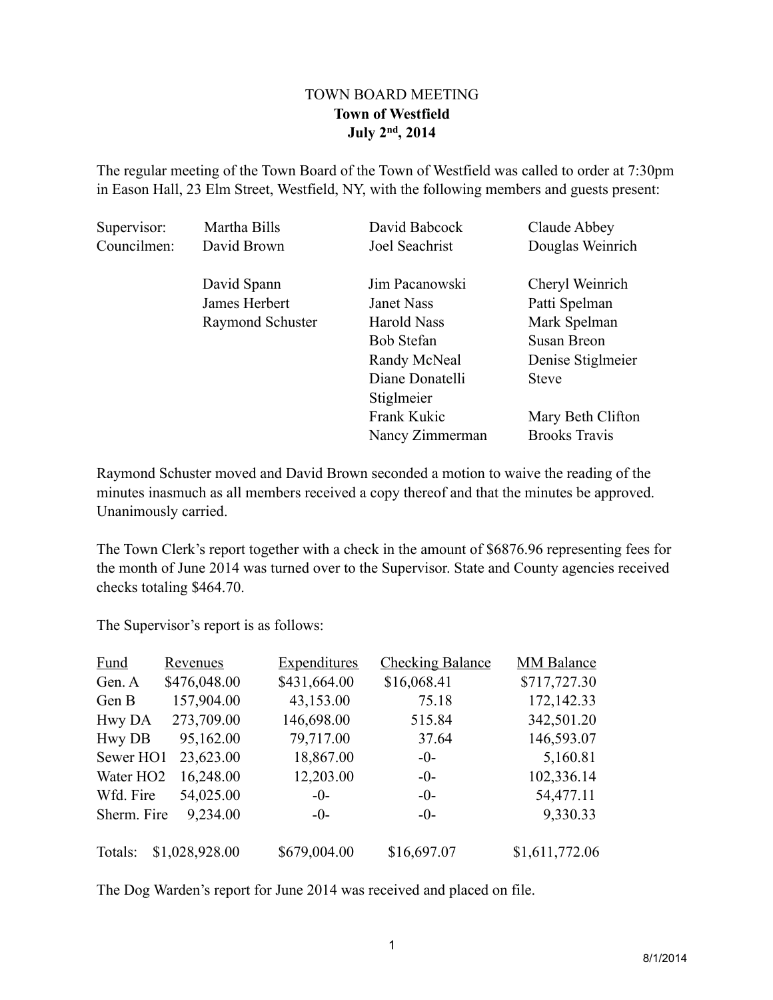## TOWN BOARD MEETING **Town of Westfield July 2nd, 2014**

The regular meeting of the Town Board of the Town of Westfield was called to order at 7:30pm in Eason Hall, 23 Elm Street, Westfield, NY, with the following members and guests present:

| Supervisor: | Martha Bills     | David Babcock      | Claude Abbey         |
|-------------|------------------|--------------------|----------------------|
| Councilmen: | David Brown      | Joel Seachrist     | Douglas Weinrich     |
|             | David Spann      | Jim Pacanowski     | Cheryl Weinrich      |
|             | James Herbert    | <b>Janet Nass</b>  | Patti Spelman        |
|             | Raymond Schuster | <b>Harold Nass</b> | Mark Spelman         |
|             |                  | <b>Bob Stefan</b>  | Susan Breon          |
|             |                  | Randy McNeal       | Denise Stiglmeier    |
|             |                  | Diane Donatelli    | <b>Steve</b>         |
|             |                  | Stiglmeier         |                      |
|             |                  | Frank Kukic        | Mary Beth Clifton    |
|             |                  | Nancy Zimmerman    | <b>Brooks Travis</b> |

Raymond Schuster moved and David Brown seconded a motion to waive the reading of the minutes inasmuch as all members received a copy thereof and that the minutes be approved. Unanimously carried.

The Town Clerk's report together with a check in the amount of \$6876.96 representing fees for the month of June 2014 was turned over to the Supervisor. State and County agencies received checks totaling \$464.70.

The Supervisor's report is as follows:

| <b>Fund</b>           | <b>Revenues</b> | <b>Expenditures</b> | <b>Checking Balance</b> | <b>MM Balance</b> |
|-----------------------|-----------------|---------------------|-------------------------|-------------------|
| Gen. A                | \$476,048.00    | \$431,664.00        | \$16,068.41             | \$717,727.30      |
| Gen B                 | 157,904.00      | 43,153.00           | 75.18                   | 172,142.33        |
| Hwy DA                | 273,709.00      | 146,698.00          | 515.84                  | 342,501.20        |
| <b>Hwy DB</b>         | 95,162.00       | 79,717.00           | 37.64                   | 146,593.07        |
| Sewer HO1             | 23,623.00       | 18,867.00           | $-0-$                   | 5,160.81          |
| Water HO <sub>2</sub> | 16,248.00       | 12,203.00           | $-0-$                   | 102,336.14        |
| Wfd. Fire             | 54,025.00       | $-0-$               | $-0-$                   | 54,477.11         |
| Sherm. Fire           | 9,234.00        | $-()$               | $-()$                   | 9,330.33          |
| Totals:               | \$1,028,928.00  | \$679,004.00        | \$16,697.07             | \$1,611,772.06    |

The Dog Warden's report for June 2014 was received and placed on file.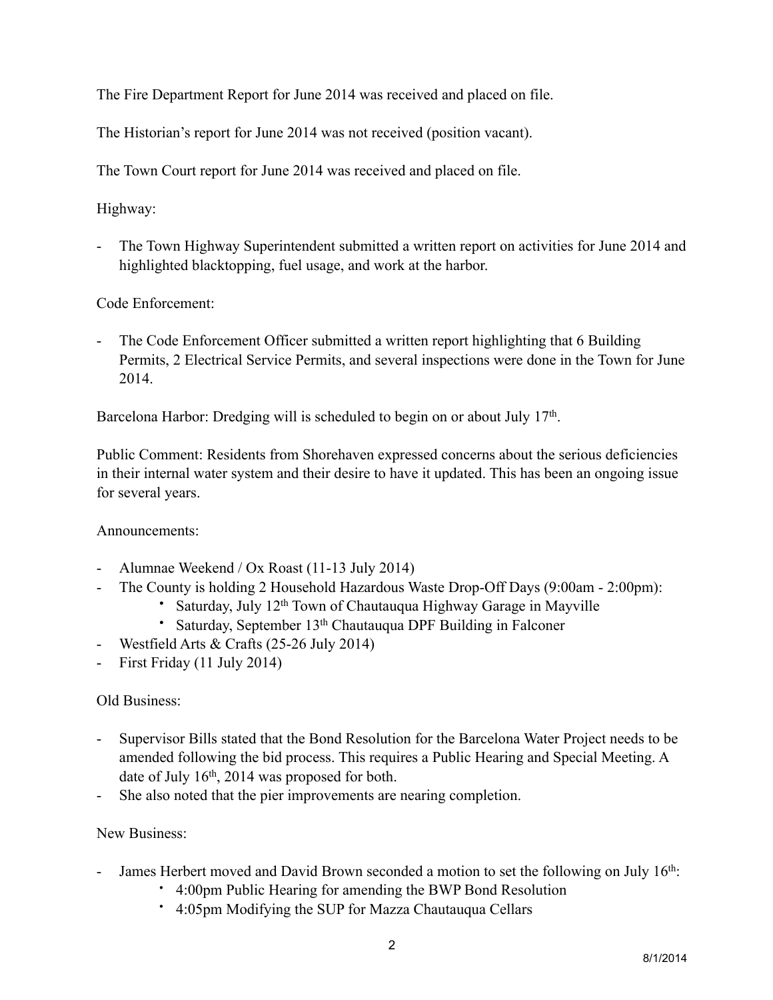The Fire Department Report for June 2014 was received and placed on file.

The Historian's report for June 2014 was not received (position vacant).

The Town Court report for June 2014 was received and placed on file.

Highway:

- The Town Highway Superintendent submitted a written report on activities for June 2014 and highlighted blacktopping, fuel usage, and work at the harbor.

Code Enforcement:

- The Code Enforcement Officer submitted a written report highlighting that 6 Building Permits, 2 Electrical Service Permits, and several inspections were done in the Town for June 2014.

Barcelona Harbor: Dredging will is scheduled to begin on or about July 17<sup>th</sup>.

Public Comment: Residents from Shorehaven expressed concerns about the serious deficiencies in their internal water system and their desire to have it updated. This has been an ongoing issue for several years.

Announcements:

- Alumnae Weekend / Ox Roast (11-13 July 2014)
- The County is holding 2 Household Hazardous Waste Drop-Off Days (9:00am 2:00pm):
	- Saturday, July 12<sup>th</sup> Town of Chautauqua Highway Garage in Mayville
	- Saturday, September 13<sup>th</sup> Chautauqua DPF Building in Falconer
- Westfield Arts & Crafts (25-26 July 2014)
- First Friday (11 July 2014)

## Old Business:

- Supervisor Bills stated that the Bond Resolution for the Barcelona Water Project needs to be amended following the bid process. This requires a Public Hearing and Special Meeting. A date of July 16th, 2014 was proposed for both.
- She also noted that the pier improvements are nearing completion.

## New Business:

- James Herbert moved and David Brown seconded a motion to set the following on July 16<sup>th</sup>:
	- 4:00pm Public Hearing for amending the BWP Bond Resolution
	- 4:05pm Modifying the SUP for Mazza Chautauqua Cellars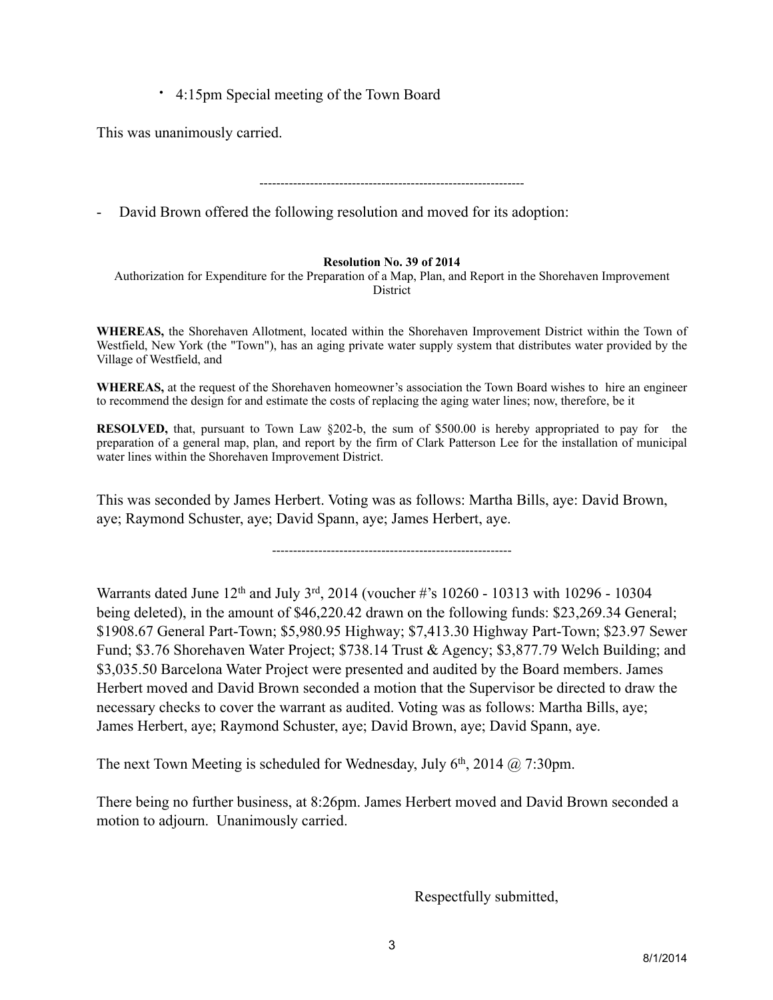• 4:15pm Special meeting of the Town Board

This was unanimously carried.

---------------------------------------------------------------

David Brown offered the following resolution and moved for its adoption:

## **Resolution No. 39 of 2014**

Authorization for Expenditure for the Preparation of a Map, Plan, and Report in the Shorehaven Improvement District

**WHEREAS,** the Shorehaven Allotment, located within the Shorehaven Improvement District within the Town of Westfield, New York (the "Town"), has an aging private water supply system that distributes water provided by the Village of Westfield, and

**WHEREAS,** at the request of the Shorehaven homeowner's association the Town Board wishes to hire an engineer to recommend the design for and estimate the costs of replacing the aging water lines; now, therefore, be it

**RESOLVED,** that, pursuant to [Town Law §202-b,](http://www.westlaw.com/Find/Default.wl?rs=dfa1.0&vr=2.0&DB=1000146&DocName=NYTWS209-B&FindType=L) the sum of \$500.00 is hereby appropriated to pay for the preparation of a general map, plan, and report by the firm of Clark Patterson Lee for the installation of municipal water lines within the Shorehaven Improvement District.

This was seconded by James Herbert. Voting was as follows: Martha Bills, aye: David Brown, aye; Raymond Schuster, aye; David Spann, aye; James Herbert, aye.

---------------------------------------------------------

Warrants dated June 12<sup>th</sup> and July 3<sup>rd</sup>, 2014 (voucher #'s 10260 - 10313 with 10296 - 10304 being deleted), in the amount of \$46,220.42 drawn on the following funds: \$23,269.34 General; \$1908.67 General Part-Town; \$5,980.95 Highway; \$7,413.30 Highway Part-Town; \$23.97 Sewer Fund; \$3.76 Shorehaven Water Project; \$738.14 Trust & Agency; \$3,877.79 Welch Building; and \$3,035.50 Barcelona Water Project were presented and audited by the Board members. James Herbert moved and David Brown seconded a motion that the Supervisor be directed to draw the necessary checks to cover the warrant as audited. Voting was as follows: Martha Bills, aye; James Herbert, aye; Raymond Schuster, aye; David Brown, aye; David Spann, aye.

The next Town Meeting is scheduled for Wednesday, July  $6<sup>th</sup>$ , 2014 @ 7:30pm.

There being no further business, at 8:26pm. James Herbert moved and David Brown seconded a motion to adjourn. Unanimously carried.

Respectfully submitted,